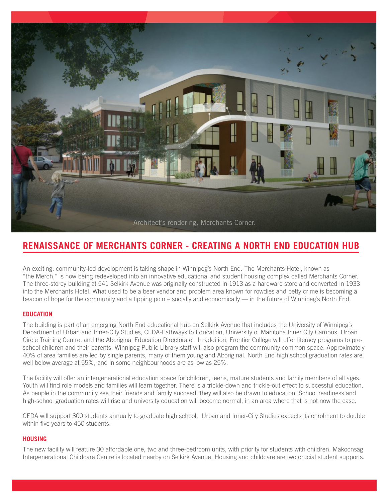

# **RENAISSANCE OF MERCHANTS CORNER - CREATING A NORTH END EDUCATION HUB**

An exciting, community-led development is taking shape in Winnipeg's North End. The Merchants Hotel, known as "the Merch," is now being redeveloped into an innovative educational and student housing complex called Merchants Corner. The three-storey building at 541 Selkirk Avenue was originally constructed in 1913 as a hardware store and converted in 1933 into the Merchants Hotel. What used to be a beer vendor and problem area known for rowdies and petty crime is becoming a beacon of hope for the community and a tipping point– socially and economically — in the future of Winnipeg's North End.

# **EDUCATION**

The building is part of an emerging North End educational hub on Selkirk Avenue that includes the University of Winnipeg's Department of Urban and Inner-City Studies, CEDA-Pathways to Education, University of Manitoba Inner City Campus, Urban Circle Training Centre, and the Aboriginal Education Directorate. In addition, Frontier College will offer literacy programs to preschool children and their parents. Winnipeg Public Library staff will also program the community common space. Approximately 40% of area families are led by single parents, many of them young and Aboriginal. North End high school graduation rates are well below average at 55%, and in some neighbourhoods are as low as 25%.

The facility will offer an intergenerational education space for children, teens, mature students and family members of all ages. Youth will find role models and families will learn together. There is a trickle-down and trickle-out effect to successful education. As people in the community see their friends and family succeed, they will also be drawn to education. School readiness and high-school graduation rates will rise and university education will become normal, in an area where that is not now the case.

CEDA will support 300 students annually to graduate high school. Urban and Inner-City Studies expects its enrolment to double within five years to 450 students.

## **HOUSING**

The new facility will feature 30 affordable one, two and three-bedroom units, with priority for students with children. Makoonsag Intergenerational Childcare Centre is located nearby on Selkirk Avenue. Housing and childcare are two crucial student supports.